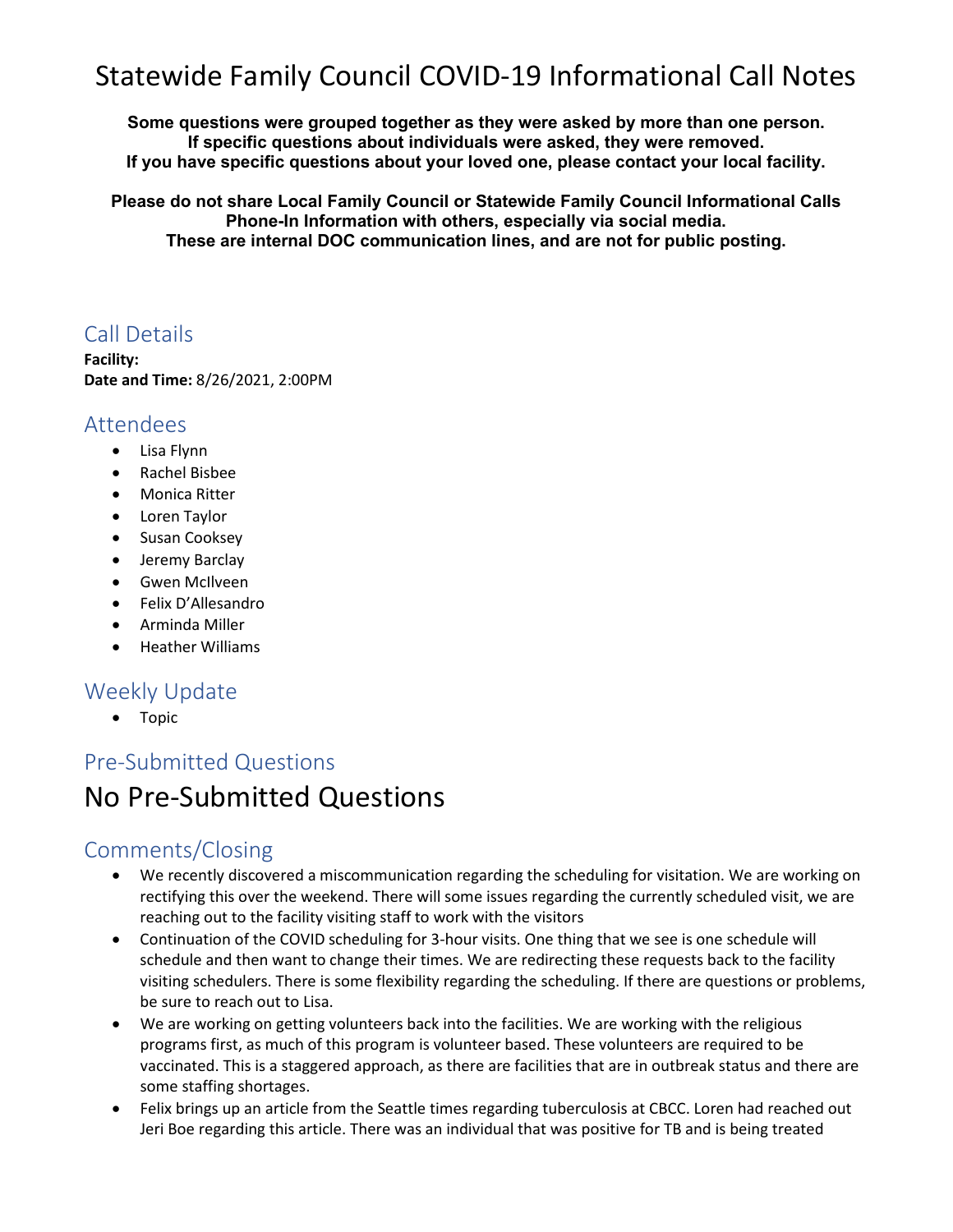# Statewide Family Council COVID-19 Informational Call Notes

**Some questions were grouped together as they were asked by more than one person. If specific questions about individuals were asked, they were removed. If you have specific questions about your loved one, please contact your local facility.** 

**Please do not share Local Family Council or Statewide Family Council Informational Calls Phone-In Information with others, especially via social media. These are internal DOC communication lines, and are not for public posting.**

### Call Details

**Facility: Date and Time:** 8/26/2021, 2:00PM

#### Attendees

- Lisa Flynn
- Rachel Bisbee
- Monica Ritter
- Loren Taylor
- Susan Cooksey
- Jeremy Barclay
- Gwen McIlveen
- Felix D'Allesandro
- Arminda Miller
- Heather Williams

#### Weekly Update

• Topic

## Pre-Submitted Questions No Pre-Submitted Questions

### Comments/Closing

- We recently discovered a miscommunication regarding the scheduling for visitation. We are working on rectifying this over the weekend. There will some issues regarding the currently scheduled visit, we are reaching out to the facility visiting staff to work with the visitors
- Continuation of the COVID scheduling for 3-hour visits. One thing that we see is one schedule will schedule and then want to change their times. We are redirecting these requests back to the facility visiting schedulers. There is some flexibility regarding the scheduling. If there are questions or problems, be sure to reach out to Lisa.
- We are working on getting volunteers back into the facilities. We are working with the religious programs first, as much of this program is volunteer based. These volunteers are required to be vaccinated. This is a staggered approach, as there are facilities that are in outbreak status and there are some staffing shortages.
- Felix brings up an article from the Seattle times regarding tuberculosis at CBCC. Loren had reached out Jeri Boe regarding this article. There was an individual that was positive for TB and is being treated